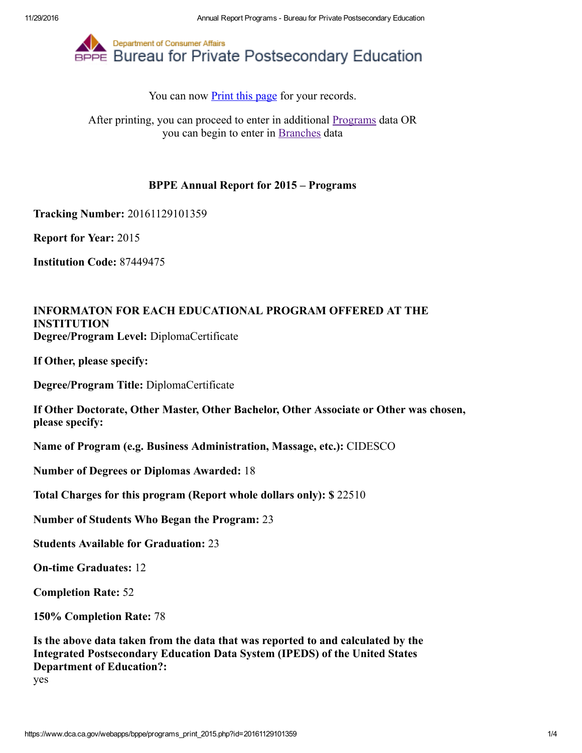

You can now **Print this page** for your records.

After printing, you can proceed to enter in additional [Programs](https://www.dca.ca.gov/webapps/bppe/report_programs_2015.php) data OR you can begin to enter in [Branches](https://www.dca.ca.gov/webapps/bppe/report_branches_2015.php) data

## BPPE Annual Report for 2015 – Programs

Tracking Number: 20161129101359

Report for Year: 2015

Institution Code: 87449475

## INFORMATON FOR EACH EDUCATIONAL PROGRAM OFFERED AT THE INSTITUTION Degree/Program Level: DiplomaCertificate

If Other, please specify:

Degree/Program Title: DiplomaCertificate

If Other Doctorate, Other Master, Other Bachelor, Other Associate or Other was chosen, please specify:

Name of Program (e.g. Business Administration, Massage, etc.): CIDESCO

Number of Degrees or Diplomas Awarded: 18

Total Charges for this program (Report whole dollars only): \$ 22510

Number of Students Who Began the Program: 23

Students Available for Graduation: 23

**On-time Graduates: 12** 

Completion Rate: 52

150% Completion Rate: 78

Is the above data taken from the data that was reported to and calculated by the Integrated Postsecondary Education Data System (IPEDS) of the United States Department of Education?:

yes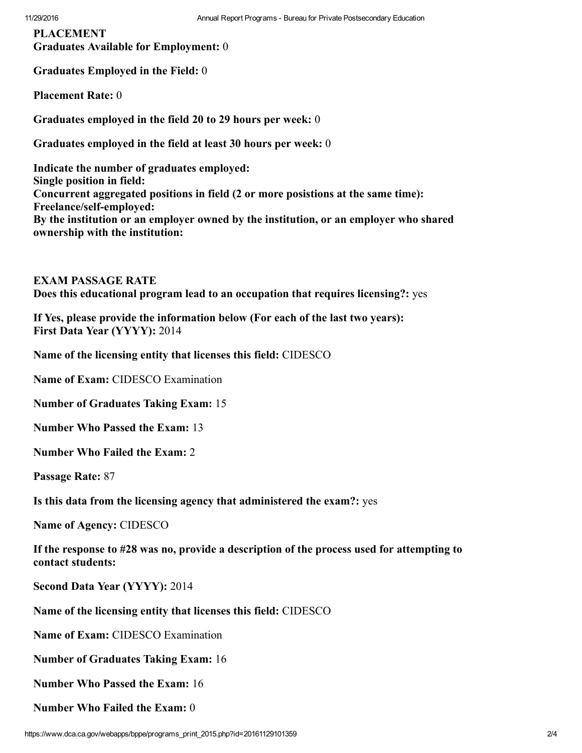PLACEMENT Graduates Available for Employment: 0

Graduates Employed in the Field: 0

Placement Rate: 0

Graduates employed in the field 20 to 29 hours per week: 0

Graduates employed in the field at least 30 hours per week: 0

Indicate the number of graduates employed: Single position in field: Concurrent aggregated positions in field (2 or more posistions at the same time): Freelance/self-employed: By the institution or an employer owned by the institution, or an employer who shared ownership with the institution:

EXAM PASSAGE RATE Does this educational program lead to an occupation that requires licensing?: yes

If Yes, please provide the information below (For each of the last two years): First Data Year (YYYY): 2014

Name of the licensing entity that licenses this field: CIDESCO

Name of Exam: CIDESCO Examination

Number of Graduates Taking Exam: 15

Number Who Passed the Exam: 13

Number Who Failed the Exam: 2

Passage Rate: 87

Is this data from the licensing agency that administered the exam?: yes

Name of Agency: CIDESCO

If the response to #28 was no, provide a description of the process used for attempting to contact students:

Second Data Year (YYYY): 2014

Name of the licensing entity that licenses this field: CIDESCO

Name of Exam: CIDESCO Examination

Number of Graduates Taking Exam: 16

Number Who Passed the Exam: 16

Number Who Failed the Exam: 0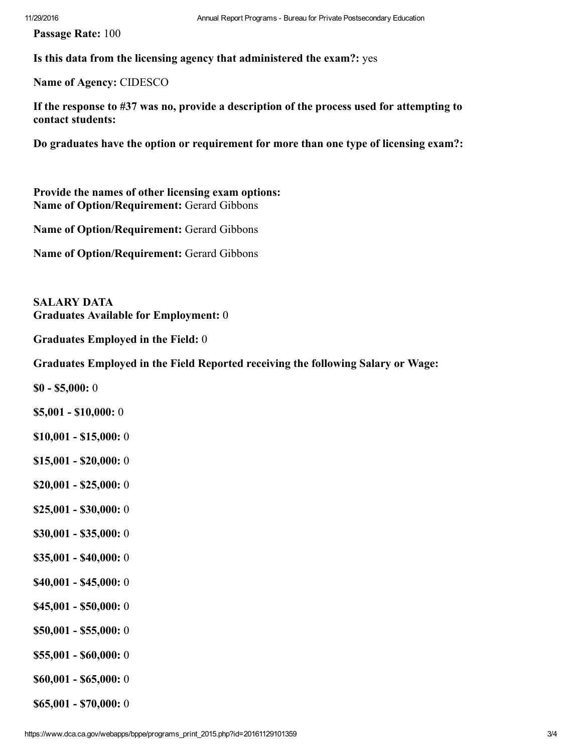Passage Rate: 100

Is this data from the licensing agency that administered the exam?: yes

Name of Agency: CIDESCO

If the response to #37 was no, provide a description of the process used for attempting to contact students:

Do graduates have the option or requirement for more than one type of licensing exam?:

Provide the names of other licensing exam options: Name of Option/Requirement: Gerard Gibbons

Name of Option/Requirement: Gerard Gibbons

Name of Option/Requirement: Gerard Gibbons

SALARY DATA Graduates Available for Employment: 0

Graduates Employed in the Field: 0

Graduates Employed in the Field Reported receiving the following Salary or Wage:

 $$0 - $5,000:0$ 

- $$5,001 $10,000:0$
- $$10,001 $15,000:0$
- $$15,001 $20,000:0$
- $$20,001 $25,000:0$
- $$25,001 $30,000:0$
- $$30,001 $35,000:0$
- $$35,001 $40,000:0$
- $$40,001 $45,000:0$
- $$45,001 $50,000:0$
- $$50,001 $55,000:0$
- $$55,001 $60,000:0$
- $$60,001 $65,000:0$
- $$65,001 $70,000:0$